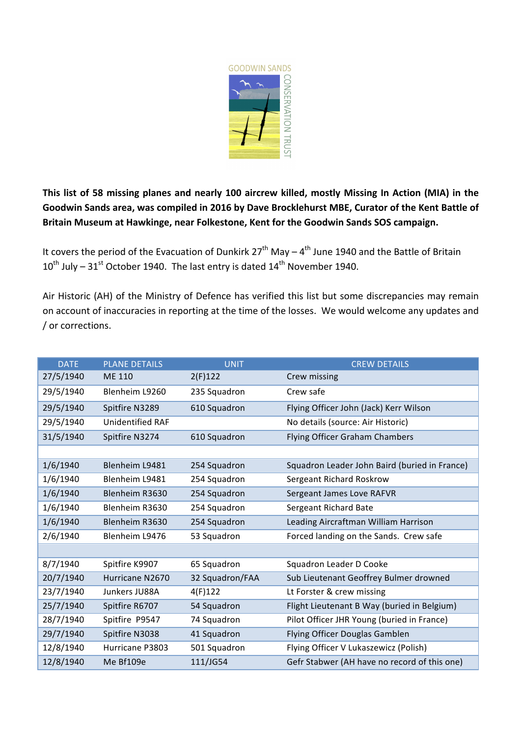

This list of 58 missing planes and nearly 100 aircrew killed, mostly Missing In Action (MIA) in the Goodwin Sands area, was compiled in 2016 by Dave Brocklehurst MBE, Curator of the Kent Battle of Britain Museum at Hawkinge, near Folkestone, Kent for the Goodwin Sands SOS campaign.

It covers the period of the Evacuation of Dunkirk  $27<sup>th</sup>$  May – 4<sup>th</sup> June 1940 and the Battle of Britain  $10^{\text{th}}$  July –  $31^{\text{st}}$  October 1940. The last entry is dated  $14^{\text{th}}$  November 1940.

Air Historic (AH) of the Ministry of Defence has verified this list but some discrepancies may remain on account of inaccuracies in reporting at the time of the losses. We would welcome any updates and / or corrections.

| <b>DATE</b> | <b>PLANE DETAILS</b>    | <b>UNIT</b>     | <b>CREW DETAILS</b>                           |
|-------------|-------------------------|-----------------|-----------------------------------------------|
| 27/5/1940   | <b>ME 110</b>           | 2(F)122         | Crew missing                                  |
| 29/5/1940   | Blenheim L9260          | 235 Squadron    | Crew safe                                     |
| 29/5/1940   | Spitfire N3289          | 610 Squadron    | Flying Officer John (Jack) Kerr Wilson        |
| 29/5/1940   | <b>Unidentified RAF</b> |                 | No details (source: Air Historic)             |
| 31/5/1940   | Spitfire N3274          | 610 Squadron    | <b>Flying Officer Graham Chambers</b>         |
|             |                         |                 |                                               |
| 1/6/1940    | Blenheim L9481          | 254 Squadron    | Squadron Leader John Baird (buried in France) |
| 1/6/1940    | Blenheim L9481          | 254 Squadron    | Sergeant Richard Roskrow                      |
| 1/6/1940    | Blenheim R3630          | 254 Squadron    | Sergeant James Love RAFVR                     |
| 1/6/1940    | Blenheim R3630          | 254 Squadron    | Sergeant Richard Bate                         |
| 1/6/1940    | Blenheim R3630          | 254 Squadron    | Leading Aircraftman William Harrison          |
| 2/6/1940    | Blenheim L9476          | 53 Squadron     | Forced landing on the Sands. Crew safe        |
|             |                         |                 |                                               |
| 8/7/1940    | Spitfire K9907          | 65 Squadron     | Squadron Leader D Cooke                       |
| 20/7/1940   | Hurricane N2670         | 32 Squadron/FAA | Sub Lieutenant Geoffrey Bulmer drowned        |
| 23/7/1940   | Junkers JU88A           | 4(F)122         | Lt Forster & crew missing                     |
| 25/7/1940   | Spitfire R6707          | 54 Squadron     | Flight Lieutenant B Way (buried in Belgium)   |
| 28/7/1940   | Spitfire P9547          | 74 Squadron     | Pilot Officer JHR Young (buried in France)    |
| 29/7/1940   | Spitfire N3038          | 41 Squadron     | Flying Officer Douglas Gamblen                |
| 12/8/1940   | Hurricane P3803         | 501 Squadron    | Flying Officer V Lukaszewicz (Polish)         |
| 12/8/1940   | Me Bf109e               | 111/JG54        | Gefr Stabwer (AH have no record of this one)  |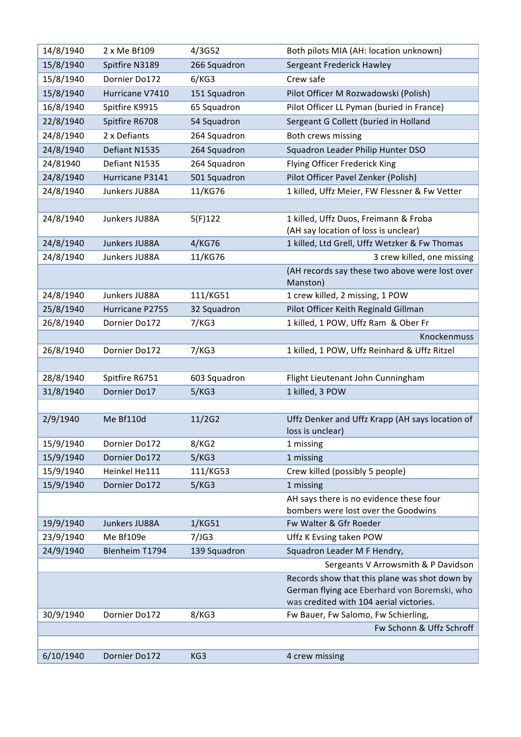| 14/8/1940 | 2 x Me Bf109    | 4/3G52       | Both pilots MIA (AH: location unknown)                                                                                                   |
|-----------|-----------------|--------------|------------------------------------------------------------------------------------------------------------------------------------------|
| 15/8/1940 | Spitfire N3189  | 266 Squadron | Sergeant Frederick Hawley                                                                                                                |
| 15/8/1940 | Dornier Do172   | 6/KG3        | Crew safe                                                                                                                                |
| 15/8/1940 | Hurricane V7410 | 151 Squadron | Pilot Officer M Rozwadowski (Polish)                                                                                                     |
| 16/8/1940 | Spitfire K9915  | 65 Squadron  | Pilot Officer LL Pyman (buried in France)                                                                                                |
| 22/8/1940 | Spitfire R6708  | 54 Squadron  | Sergeant G Collett (buried in Holland                                                                                                    |
| 24/8/1940 | 2 x Defiants    | 264 Squadron | Both crews missing                                                                                                                       |
| 24/8/1940 | Defiant N1535   | 264 Squadron | Squadron Leader Philip Hunter DSO                                                                                                        |
| 24/81940  | Defiant N1535   | 264 Squadron | Flying Officer Frederick King                                                                                                            |
| 24/8/1940 | Hurricane P3141 | 501 Squadron | Pilot Officer Pavel Zenker (Polish)                                                                                                      |
| 24/8/1940 | Junkers JU88A   | 11/KG76      | 1 killed, Uffz Meier, FW Flessner & Fw Vetter                                                                                            |
|           |                 |              |                                                                                                                                          |
| 24/8/1940 | Junkers JU88A   | 5(F)122      | 1 killed, Uffz Duos, Freimann & Froba                                                                                                    |
|           |                 |              | (AH say location of loss is unclear)                                                                                                     |
| 24/8/1940 | Junkers JU88A   | 4/KG76       | 1 killed, Ltd Grell, Uffz Wetzker & Fw Thomas                                                                                            |
| 24/8/1940 | Junkers JU88A   | 11/KG76      | 3 crew killed, one missing                                                                                                               |
|           |                 |              | (AH records say these two above were lost over<br>Manston)                                                                               |
| 24/8/1940 | Junkers JU88A   | 111/KG51     | 1 crew killed, 2 missing, 1 POW                                                                                                          |
| 25/8/1940 | Hurricane P2755 | 32 Squadron  | Pilot Officer Keith Reginald Gillman                                                                                                     |
| 26/8/1940 | Dornier Do172   | 7/KG3        | 1 killed, 1 POW, Uffz Ram & Ober Fr                                                                                                      |
|           |                 |              | Knockenmuss                                                                                                                              |
| 26/8/1940 | Dornier Do172   | 7/KG3        | 1 killed, 1 POW, Uffz Reinhard & Uffz Ritzel                                                                                             |
|           |                 |              |                                                                                                                                          |
| 28/8/1940 | Spitfire R6751  | 603 Squadron | Flight Lieutenant John Cunningham                                                                                                        |
| 31/8/1940 | Dornier Do17    | 5/KG3        | 1 killed, 3 POW                                                                                                                          |
|           |                 |              |                                                                                                                                          |
| 2/9/1940  | Me Bf110d       | 11/2G2       | Uffz Denker and Uffz Krapp (AH says location of<br>loss is unclear)                                                                      |
| 15/9/1940 | Dornier Do172   | 8/KG2        | 1 missing                                                                                                                                |
| 15/9/1940 | Dornier Do172   | 5/KG3        | 1 missing                                                                                                                                |
| 15/9/1940 | Heinkel He111   | 111/KG53     | Crew killed (possibly 5 people)                                                                                                          |
| 15/9/1940 | Dornier Do172   | 5/KG3        | 1 missing                                                                                                                                |
|           |                 |              | AH says there is no evidence these four<br>bombers were lost over the Goodwins                                                           |
| 19/9/1940 | Junkers JU88A   | 1/KG51       | Fw Walter & Gfr Roeder                                                                                                                   |
| 23/9/1940 | Me Bf109e       | 7/JG3        | Uffz K Evsing taken POW                                                                                                                  |
| 24/9/1940 | Blenheim T1794  | 139 Squadron | Squadron Leader M F Hendry,                                                                                                              |
|           |                 |              | Sergeants V Arrowsmith & P Davidson                                                                                                      |
|           |                 |              | Records show that this plane was shot down by<br>German flying ace Eberhard von Boremski, who<br>was credited with 104 aerial victories. |
| 30/9/1940 | Dornier Do172   | 8/KG3        | Fw Bauer, Fw Salomo, Fw Schierling,                                                                                                      |
|           |                 |              | Fw Schonn & Uffz Schroff                                                                                                                 |
|           |                 |              |                                                                                                                                          |
| 6/10/1940 | Dornier Do172   | KG3          | 4 crew missing                                                                                                                           |